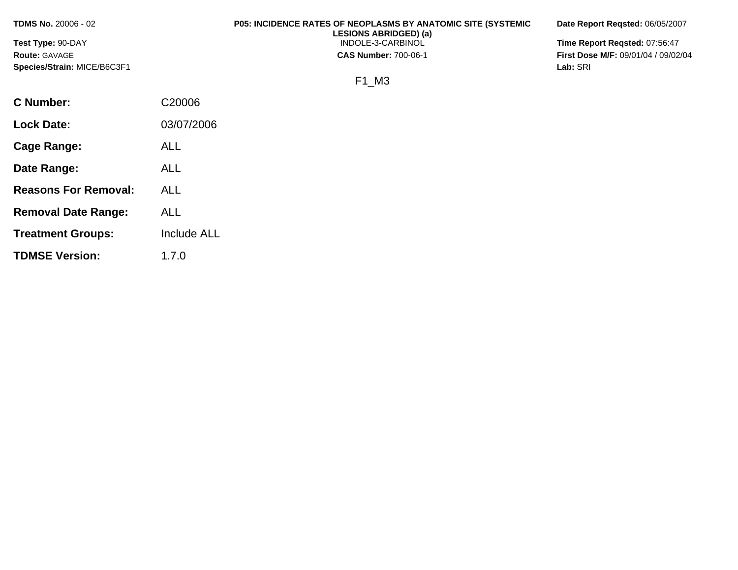**Test Type:** 90-DAY **Route:** GAVAGE **Species/Strain:** MICE/B6C3F1

# **P05: INCIDENCE RATES OF NEOPLASMS BY ANATOMIC SITE (SYSTEMIC LESIONS ABRIDGED) (a)**

INDOLE-3-CARBINOL

**CAS Number:** 700-06-1

**Date Report Reqsted:** 06/05/2007

**Time Report Reqsted:** 07:56:47 **First Dose M/F:** 09/01/04 / 09/02/04 **Lab:** SRI

F1\_M3

| C Number:                   | C <sub>20006</sub> |
|-----------------------------|--------------------|
| <b>Lock Date:</b>           | 03/07/2006         |
| Cage Range:                 | ALL                |
| Date Range:                 | ALL                |
| <b>Reasons For Removal:</b> | ALL.               |
| <b>Removal Date Range:</b>  | ALL                |
| <b>Treatment Groups:</b>    | <b>Include ALL</b> |
| <b>TDMSE Version:</b>       | 1.7.0              |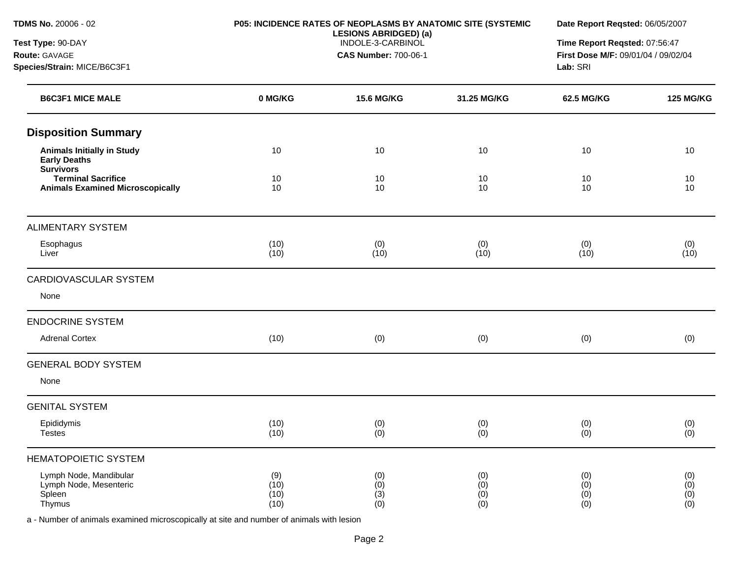| <b>TDMS No. 20006 - 02</b>                                                   |                             | P05: INCIDENCE RATES OF NEOPLASMS BY ANATOMIC SITE (SYSTEMIC<br><b>LESIONS ABRIDGED) (a)</b><br>INDOLE-3-CARBINOL<br><b>CAS Number: 700-06-1</b> |                          |                              | Date Report Reqsted: 06/05/2007<br>Time Report Reqsted: 07:56:47<br>First Dose M/F: 09/01/04 / 09/02/04<br>Lab: SRI |  |
|------------------------------------------------------------------------------|-----------------------------|--------------------------------------------------------------------------------------------------------------------------------------------------|--------------------------|------------------------------|---------------------------------------------------------------------------------------------------------------------|--|
| Test Type: 90-DAY<br>Route: GAVAGE                                           |                             |                                                                                                                                                  |                          |                              |                                                                                                                     |  |
| Species/Strain: MICE/B6C3F1                                                  |                             |                                                                                                                                                  |                          |                              |                                                                                                                     |  |
| <b>B6C3F1 MICE MALE</b>                                                      | 0 MG/KG                     | <b>15.6 MG/KG</b>                                                                                                                                | 31.25 MG/KG              | 62.5 MG/KG                   | <b>125 MG/KG</b>                                                                                                    |  |
| <b>Disposition Summary</b>                                                   |                             |                                                                                                                                                  |                          |                              |                                                                                                                     |  |
| <b>Animals Initially in Study</b><br><b>Early Deaths</b><br><b>Survivors</b> | 10                          | 10                                                                                                                                               | 10                       | 10                           | 10                                                                                                                  |  |
| <b>Terminal Sacrifice</b><br><b>Animals Examined Microscopically</b>         | 10<br>10                    | 10<br>10                                                                                                                                         | 10<br>10                 | 10<br>10                     | 10<br>10                                                                                                            |  |
| <b>ALIMENTARY SYSTEM</b>                                                     |                             |                                                                                                                                                  |                          |                              |                                                                                                                     |  |
| Esophagus<br>Liver                                                           | (10)<br>(10)                | (0)<br>(10)                                                                                                                                      | (0)<br>(10)              | (0)<br>(10)                  | (0)<br>(10)                                                                                                         |  |
| <b>CARDIOVASCULAR SYSTEM</b>                                                 |                             |                                                                                                                                                  |                          |                              |                                                                                                                     |  |
| None                                                                         |                             |                                                                                                                                                  |                          |                              |                                                                                                                     |  |
| <b>ENDOCRINE SYSTEM</b>                                                      |                             |                                                                                                                                                  |                          |                              |                                                                                                                     |  |
| <b>Adrenal Cortex</b>                                                        | (10)                        | (0)                                                                                                                                              | (0)                      | (0)                          | (0)                                                                                                                 |  |
| <b>GENERAL BODY SYSTEM</b>                                                   |                             |                                                                                                                                                  |                          |                              |                                                                                                                     |  |
| None                                                                         |                             |                                                                                                                                                  |                          |                              |                                                                                                                     |  |
| <b>GENITAL SYSTEM</b>                                                        |                             |                                                                                                                                                  |                          |                              |                                                                                                                     |  |
| Epididymis<br><b>Testes</b>                                                  | (10)<br>(10)                | (0)<br>(0)                                                                                                                                       | (0)<br>(0)               | (0)<br>(0)                   | (0)<br>(0)                                                                                                          |  |
| <b>HEMATOPOIETIC SYSTEM</b>                                                  |                             |                                                                                                                                                  |                          |                              |                                                                                                                     |  |
| Lymph Node, Mandibular<br>Lymph Node, Mesenteric<br>Spleen<br>Thymus         | (9)<br>(10)<br>(10)<br>(10) | (0)<br>(0)<br>(3)<br>(0)                                                                                                                         | (0)<br>(0)<br>(0)<br>(0) | (0)<br>(0)<br>$(0)$<br>$(0)$ | (0)<br>$(0)$<br>$(0)$<br>$(0)$                                                                                      |  |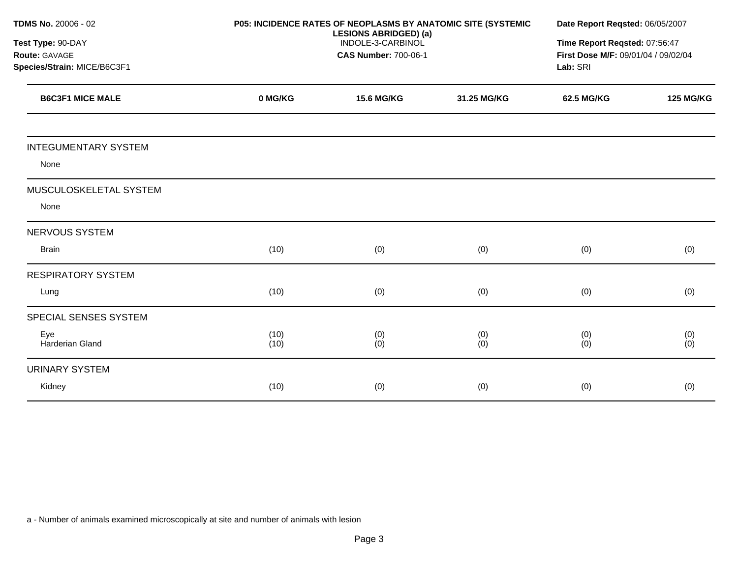| TDMS No. 20006 - 02         |              | P05: INCIDENCE RATES OF NEOPLASMS BY ANATOMIC SITE (SYSTEMIC<br><b>LESIONS ABRIDGED) (a)</b> |             | Date Report Reqsted: 06/05/2007                 |                               |
|-----------------------------|--------------|----------------------------------------------------------------------------------------------|-------------|-------------------------------------------------|-------------------------------|
| Test Type: 90-DAY           |              | INDOLE-3-CARBINOL                                                                            |             |                                                 | Time Report Reqsted: 07:56:47 |
| Route: GAVAGE               |              | <b>CAS Number: 700-06-1</b>                                                                  |             | First Dose M/F: 09/01/04 / 09/02/04<br>Lab: SRI |                               |
| Species/Strain: MICE/B6C3F1 |              |                                                                                              |             |                                                 |                               |
| <b>B6C3F1 MICE MALE</b>     | 0 MG/KG      | <b>15.6 MG/KG</b>                                                                            | 31.25 MG/KG | 62.5 MG/KG                                      | <b>125 MG/KG</b>              |
| <b>INTEGUMENTARY SYSTEM</b> |              |                                                                                              |             |                                                 |                               |
| None                        |              |                                                                                              |             |                                                 |                               |
| MUSCULOSKELETAL SYSTEM      |              |                                                                                              |             |                                                 |                               |
| None                        |              |                                                                                              |             |                                                 |                               |
| <b>NERVOUS SYSTEM</b>       |              |                                                                                              |             |                                                 |                               |
| <b>Brain</b>                | (10)         | (0)                                                                                          | (0)         | (0)                                             | (0)                           |
| <b>RESPIRATORY SYSTEM</b>   |              |                                                                                              |             |                                                 |                               |
| Lung                        | (10)         | (0)                                                                                          | (0)         | (0)                                             | (0)                           |
| SPECIAL SENSES SYSTEM       |              |                                                                                              |             |                                                 |                               |
| Eye<br>Harderian Gland      | (10)<br>(10) | (0)<br>(0)                                                                                   | (0)<br>(0)  | (0)<br>(0)                                      | (0)<br>(0)                    |
| <b>URINARY SYSTEM</b>       |              |                                                                                              |             |                                                 |                               |
| Kidney                      | (10)         | (0)                                                                                          | (0)         | (0)                                             | (0)                           |
|                             |              |                                                                                              |             |                                                 |                               |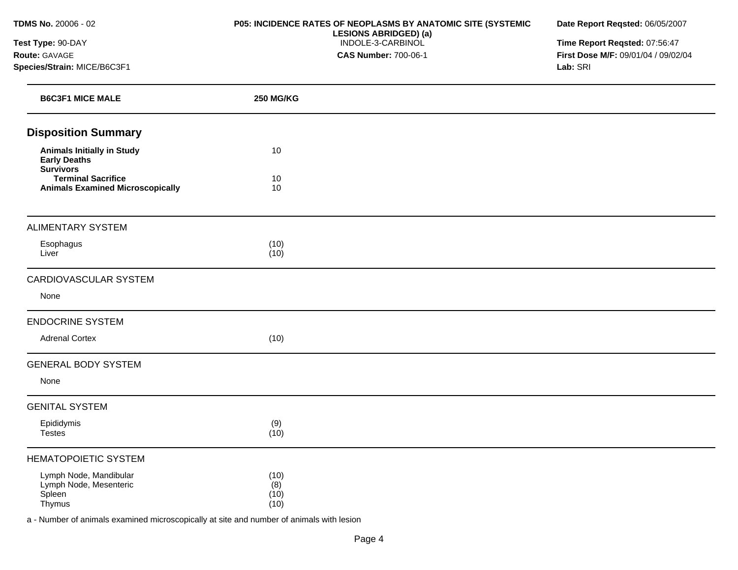**Test Type:** 90-DAY **Route:** GAVAGE **Species/Strain:** MICE/B6C3F1

### **P05: INCIDENCE RATES OF NEOPLASMS BY ANATOMIC SITE (SYSTEMIC LESIONS ABRIDGED) (a)**  INDOLE-3-CARBINOL **CAS Number:** 700-06-1

**Date Report Reqsted:** 06/05/2007

**Time Report Reqsted:** 07:56:47 **First Dose M/F:** 09/01/04 / 09/02/04 **Lab:** SRI

| <b>B6C3F1 MICE MALE</b>                                                      | <b>250 MG/KG</b>            |  |
|------------------------------------------------------------------------------|-----------------------------|--|
| <b>Disposition Summary</b>                                                   |                             |  |
| <b>Animals Initially in Study</b><br><b>Early Deaths</b><br><b>Survivors</b> | 10                          |  |
| <b>Terminal Sacrifice</b><br><b>Animals Examined Microscopically</b>         | 10<br>10                    |  |
| <b>ALIMENTARY SYSTEM</b>                                                     |                             |  |
| Esophagus<br>Liver                                                           | (10)<br>(10)                |  |
| CARDIOVASCULAR SYSTEM                                                        |                             |  |
| None                                                                         |                             |  |
| <b>ENDOCRINE SYSTEM</b>                                                      |                             |  |
| <b>Adrenal Cortex</b>                                                        | (10)                        |  |
| <b>GENERAL BODY SYSTEM</b>                                                   |                             |  |
| None                                                                         |                             |  |
| <b>GENITAL SYSTEM</b>                                                        |                             |  |
| Epididymis<br><b>Testes</b>                                                  | (9)<br>(10)                 |  |
| <b>HEMATOPOIETIC SYSTEM</b>                                                  |                             |  |
| Lymph Node, Mandibular<br>Lymph Node, Mesenteric<br>Spleen<br>Thymus         | (10)<br>(8)<br>(10)<br>(10) |  |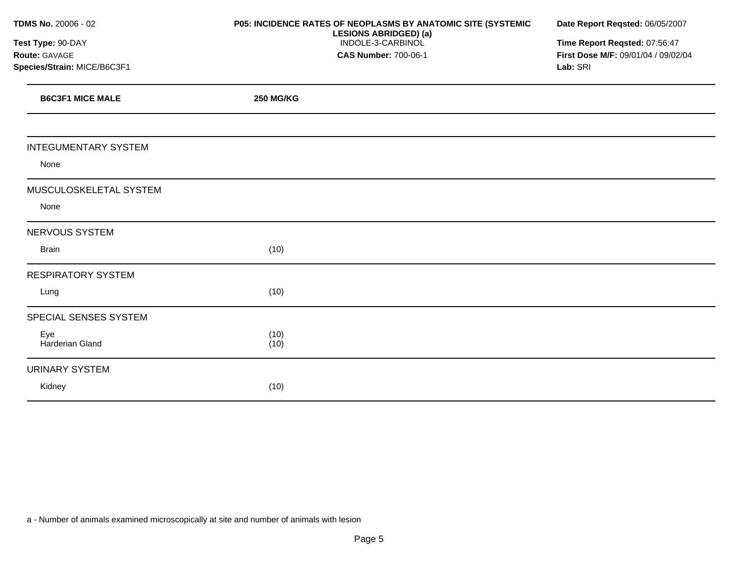| TDMS No. 20006 - 02         | P05: INCIDENCE RATES OF NEOPLASMS BY ANATOMIC SITE (SYSTEMIC | Date Report Reqsted: 06/05/2007     |  |  |
|-----------------------------|--------------------------------------------------------------|-------------------------------------|--|--|
| Test Type: 90-DAY           | <b>LESIONS ABRIDGED) (a)</b><br>INDOLE-3-CARBINOL            | Time Report Reqsted: 07:56:47       |  |  |
| Route: GAVAGE               | <b>CAS Number: 700-06-1</b>                                  | First Dose M/F: 09/01/04 / 09/02/04 |  |  |
| Species/Strain: MICE/B6C3F1 |                                                              | Lab: SRI                            |  |  |
| <b>B6C3F1 MICE MALE</b>     | <b>250 MG/KG</b>                                             |                                     |  |  |
|                             |                                                              |                                     |  |  |
| <b>INTEGUMENTARY SYSTEM</b> |                                                              |                                     |  |  |
| None                        |                                                              |                                     |  |  |
| MUSCULOSKELETAL SYSTEM      |                                                              |                                     |  |  |
| None                        |                                                              |                                     |  |  |
| NERVOUS SYSTEM              |                                                              |                                     |  |  |
| <b>Brain</b>                | (10)                                                         |                                     |  |  |
| <b>RESPIRATORY SYSTEM</b>   |                                                              |                                     |  |  |
| Lung                        | (10)                                                         |                                     |  |  |
| SPECIAL SENSES SYSTEM       |                                                              |                                     |  |  |
| Eye<br>Harderian Gland      | (10)<br>(10)                                                 |                                     |  |  |
| <b>URINARY SYSTEM</b>       |                                                              |                                     |  |  |
| Kidney                      | (10)                                                         |                                     |  |  |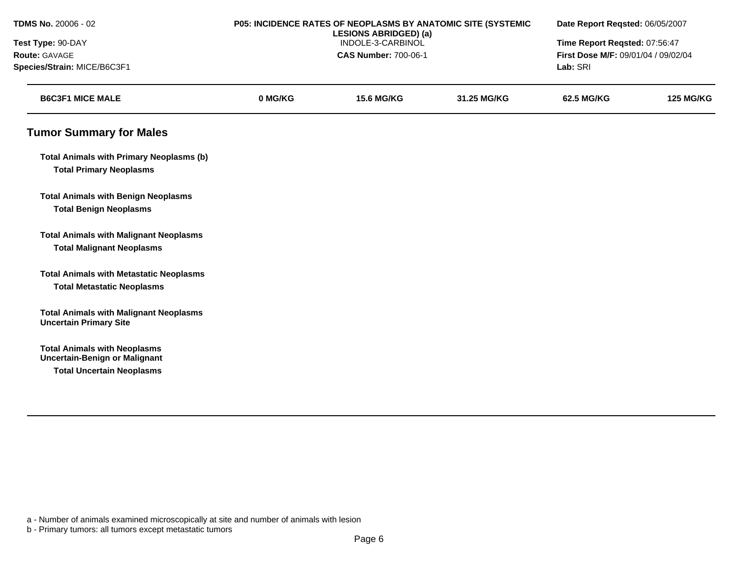| TDMS No. 20006 - 02                                                               | P05: INCIDENCE RATES OF NEOPLASMS BY ANATOMIC SITE (SYSTEMIC<br><b>LESIONS ABRIDGED) (a)</b><br>INDOLE-3-CARBINOL |                             |             | Date Report Reqsted: 06/05/2007<br>Time Report Reqsted: 07:56:47 |                  |
|-----------------------------------------------------------------------------------|-------------------------------------------------------------------------------------------------------------------|-----------------------------|-------------|------------------------------------------------------------------|------------------|
| Test Type: 90-DAY                                                                 |                                                                                                                   |                             |             |                                                                  |                  |
| Route: GAVAGE                                                                     |                                                                                                                   | <b>CAS Number: 700-06-1</b> |             | First Dose M/F: 09/01/04 / 09/02/04                              |                  |
| Species/Strain: MICE/B6C3F1                                                       |                                                                                                                   |                             |             | Lab: SRI                                                         |                  |
| <b>B6C3F1 MICE MALE</b>                                                           | 0 MG/KG                                                                                                           | <b>15.6 MG/KG</b>           | 31.25 MG/KG | <b>62.5 MG/KG</b>                                                | <b>125 MG/KG</b> |
| <b>Tumor Summary for Males</b>                                                    |                                                                                                                   |                             |             |                                                                  |                  |
| <b>Total Animals with Primary Neoplasms (b)</b><br><b>Total Primary Neoplasms</b> |                                                                                                                   |                             |             |                                                                  |                  |
| <b>Total Animals with Benign Neoplasms</b>                                        |                                                                                                                   |                             |             |                                                                  |                  |
| <b>Total Benign Neoplasms</b>                                                     |                                                                                                                   |                             |             |                                                                  |                  |
| <b>Total Animals with Malignant Neoplasms</b>                                     |                                                                                                                   |                             |             |                                                                  |                  |
| <b>Total Malignant Neoplasms</b>                                                  |                                                                                                                   |                             |             |                                                                  |                  |
| <b>Total Animals with Metastatic Neoplasms</b>                                    |                                                                                                                   |                             |             |                                                                  |                  |
| <b>Total Metastatic Neoplasms</b>                                                 |                                                                                                                   |                             |             |                                                                  |                  |
| <b>Total Animals with Malignant Neoplasms</b><br><b>Uncertain Primary Site</b>    |                                                                                                                   |                             |             |                                                                  |                  |
| <b>Total Animals with Neoplasms</b><br><b>Uncertain-Benign or Malignant</b>       |                                                                                                                   |                             |             |                                                                  |                  |
| <b>Total Uncertain Neoplasms</b>                                                  |                                                                                                                   |                             |             |                                                                  |                  |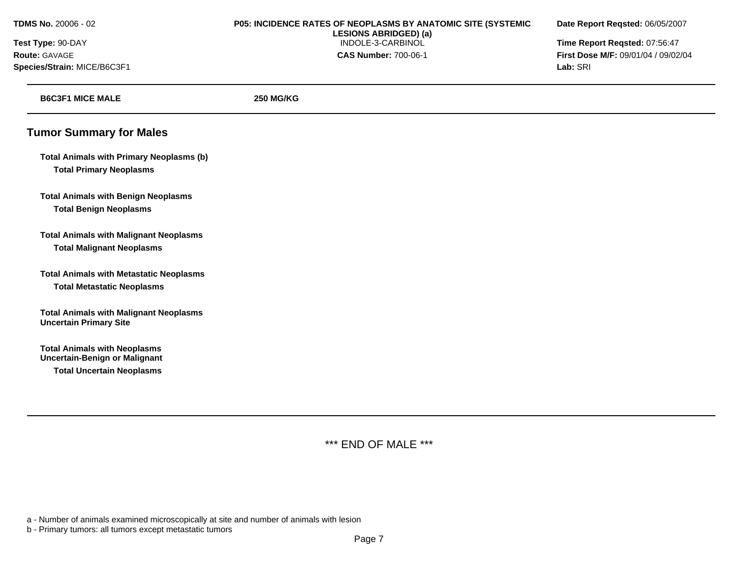**Species/Strain:** MICE/B6C3F1 **Lab:** SRI

# **TDMS No.** 20006 - 02 **P05: INCIDENCE RATES OF NEOPLASMS BY ANATOMIC SITE (SYSTEMIC Date Report Reqsted:** 06/05/2007 **LESIONS ABRIDGED) (a) Test Type:** 90-DAY INDOLE-3-CARBINOL **Time Report Reqsted:** 07:56:47 **Route:** GAVAGE **CAS Number:** 700-06-1 **First Dose M/F:** 09/01/04 / 09/02/04

| <b>B6C3F1 MICE MALE</b>                                                                                         | <b>250 MG/KG</b> |
|-----------------------------------------------------------------------------------------------------------------|------------------|
| <b>Tumor Summary for Males</b>                                                                                  |                  |
| <b>Total Animals with Primary Neoplasms (b)</b><br><b>Total Primary Neoplasms</b>                               |                  |
| <b>Total Animals with Benign Neoplasms</b><br><b>Total Benign Neoplasms</b>                                     |                  |
| <b>Total Animals with Malignant Neoplasms</b><br><b>Total Malignant Neoplasms</b>                               |                  |
| <b>Total Animals with Metastatic Neoplasms</b><br><b>Total Metastatic Neoplasms</b>                             |                  |
| <b>Total Animals with Malignant Neoplasms</b><br><b>Uncertain Primary Site</b>                                  |                  |
| <b>Total Animals with Neoplasms</b><br><b>Uncertain-Benign or Malignant</b><br><b>Total Uncertain Neoplasms</b> |                  |

\*\*\* END OF MALE \*\*\*

a - Number of animals examined microscopically at site and number of animals with lesion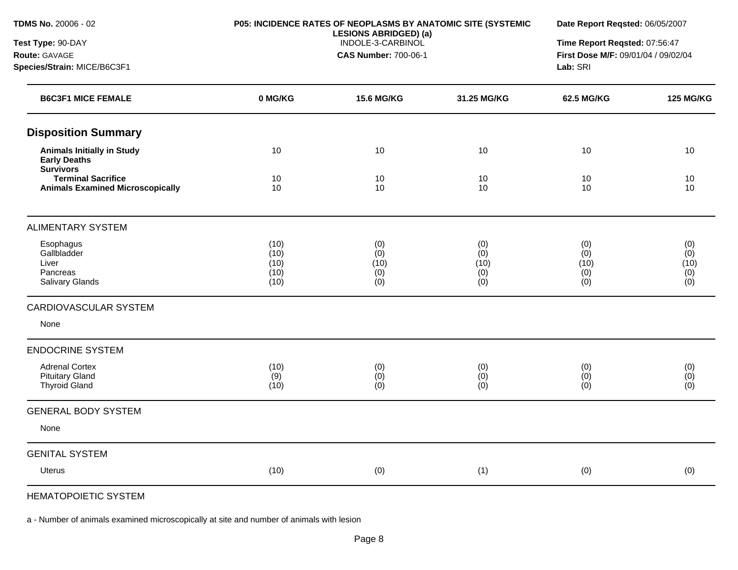| TDMS No. 20006 - 02<br>Test Type: 90-DAY<br>Route: GAVAGE<br>Species/Strain: MICE/B6C3F1 | P05: INCIDENCE RATES OF NEOPLASMS BY ANATOMIC SITE (SYSTEMIC<br><b>LESIONS ABRIDGED) (a)</b><br>INDOLE-3-CARBINOL<br><b>CAS Number: 700-06-1</b> |                   |             | Date Report Reqsted: 06/05/2007<br>Time Report Reqsted: 07:56:47<br>First Dose M/F: 09/01/04 / 09/02/04<br>Lab: SRI |                  |
|------------------------------------------------------------------------------------------|--------------------------------------------------------------------------------------------------------------------------------------------------|-------------------|-------------|---------------------------------------------------------------------------------------------------------------------|------------------|
| <b>B6C3F1 MICE FEMALE</b>                                                                | 0 MG/KG                                                                                                                                          | <b>15.6 MG/KG</b> | 31.25 MG/KG | <b>62.5 MG/KG</b>                                                                                                   | <b>125 MG/KG</b> |
| <b>Disposition Summary</b>                                                               |                                                                                                                                                  |                   |             |                                                                                                                     |                  |
| <b>Animals Initially in Study</b><br><b>Early Deaths</b><br><b>Survivors</b>             | 10                                                                                                                                               | 10                | 10          | 10                                                                                                                  | 10               |
| <b>Terminal Sacrifice</b><br><b>Animals Examined Microscopically</b>                     | 10<br>10                                                                                                                                         | 10<br>10          | 10<br>10    | 10<br>10                                                                                                            | 10<br>10         |
| <b>ALIMENTARY SYSTEM</b>                                                                 |                                                                                                                                                  |                   |             |                                                                                                                     |                  |
| Esophagus<br>Gallbladder                                                                 | (10)<br>(10)                                                                                                                                     | (0)<br>(0)        | (0)<br>(0)  | (0)<br>(0)                                                                                                          | (0)<br>(0)       |
| Liver                                                                                    | (10)                                                                                                                                             | (10)              | (10)        | (10)                                                                                                                | (10)             |
| Pancreas<br>Salivary Glands                                                              | (10)<br>(10)                                                                                                                                     | (0)<br>(0)        | (0)<br>(0)  | (0)<br>(0)                                                                                                          | (0)<br>(0)       |
| <b>CARDIOVASCULAR SYSTEM</b>                                                             |                                                                                                                                                  |                   |             |                                                                                                                     |                  |
| None                                                                                     |                                                                                                                                                  |                   |             |                                                                                                                     |                  |
| <b>ENDOCRINE SYSTEM</b>                                                                  |                                                                                                                                                  |                   |             |                                                                                                                     |                  |
| <b>Adrenal Cortex</b>                                                                    | (10)                                                                                                                                             | (0)               | (0)         | (0)                                                                                                                 | (0)              |
| <b>Pituitary Gland</b><br>Thyroid Gland                                                  | (9)<br>(10)                                                                                                                                      | (0)<br>(0)        | (0)<br>(0)  | (0)<br>(0)                                                                                                          | (0)<br>(0)       |
| <b>GENERAL BODY SYSTEM</b>                                                               |                                                                                                                                                  |                   |             |                                                                                                                     |                  |
| None                                                                                     |                                                                                                                                                  |                   |             |                                                                                                                     |                  |
| <b>GENITAL SYSTEM</b>                                                                    |                                                                                                                                                  |                   |             |                                                                                                                     |                  |
| <b>Uterus</b>                                                                            | (10)                                                                                                                                             | (0)               | (1)         | (0)                                                                                                                 | (0)              |
|                                                                                          |                                                                                                                                                  |                   |             |                                                                                                                     |                  |

HEMATOPOIETIC SYSTEM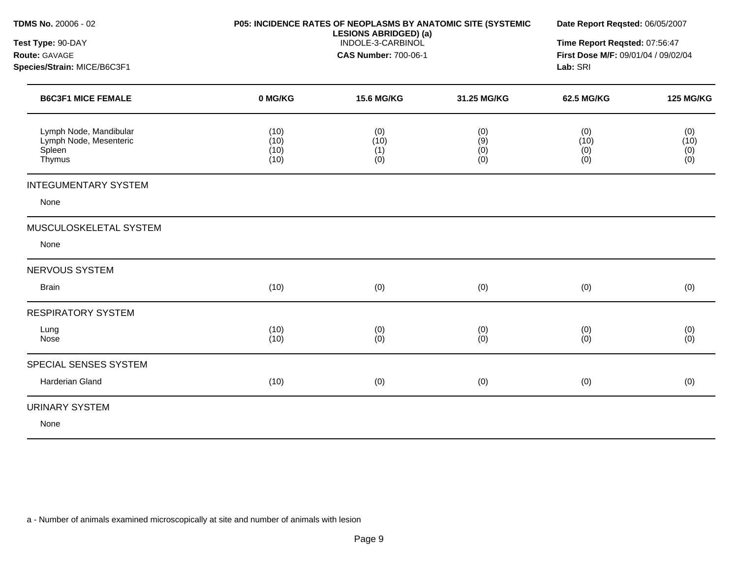| TDMS No. 20006 - 02<br>Test Type: 90-DAY<br><b>Route: GAVAGE</b><br>Species/Strain: MICE/B6C3F1 | <b>P05: INCIDENCE RATES OF NEOPLASMS BY ANATOMIC SITE (SYSTEMIC</b><br><b>LESIONS ABRIDGED) (a)</b><br>INDOLE-3-CARBINOL<br><b>CAS Number: 700-06-1</b> |                           |                          | Date Report Regsted: 06/05/2007<br>Time Report Reqsted: 07:56:47<br>First Dose M/F: 09/01/04 / 09/02/04<br>Lab: SRI |                                                         |
|-------------------------------------------------------------------------------------------------|---------------------------------------------------------------------------------------------------------------------------------------------------------|---------------------------|--------------------------|---------------------------------------------------------------------------------------------------------------------|---------------------------------------------------------|
| <b>B6C3F1 MICE FEMALE</b>                                                                       | 0 MG/KG                                                                                                                                                 | <b>15.6 MG/KG</b>         | 31.25 MG/KG              | <b>62.5 MG/KG</b>                                                                                                   | <b>125 MG/KG</b>                                        |
| Lymph Node, Mandibular<br>Lymph Node, Mesenteric<br>Spleen<br>Thymus                            | (10)<br>(10)<br>(10)<br>(10)                                                                                                                            | (0)<br>(10)<br>(1)<br>(0) | (0)<br>(9)<br>(0)<br>(0) | (0)<br>(10)<br>(0)<br>(0)                                                                                           | (0)<br>(10)<br>$\begin{array}{c} (0) \ (0) \end{array}$ |
| <b>INTEGUMENTARY SYSTEM</b>                                                                     |                                                                                                                                                         |                           |                          |                                                                                                                     |                                                         |
| None                                                                                            |                                                                                                                                                         |                           |                          |                                                                                                                     |                                                         |
| MUSCULOSKELETAL SYSTEM                                                                          |                                                                                                                                                         |                           |                          |                                                                                                                     |                                                         |
| None                                                                                            |                                                                                                                                                         |                           |                          |                                                                                                                     |                                                         |
| NERVOUS SYSTEM                                                                                  |                                                                                                                                                         |                           |                          |                                                                                                                     |                                                         |
| <b>Brain</b>                                                                                    | (10)                                                                                                                                                    | (0)                       | (0)                      | (0)                                                                                                                 | (0)                                                     |
| <b>RESPIRATORY SYSTEM</b>                                                                       |                                                                                                                                                         |                           |                          |                                                                                                                     |                                                         |
| Lung<br>Nose                                                                                    | (10)<br>(10)                                                                                                                                            | (0)<br>(0)                | (0)<br>(0)               | (0)<br>(0)                                                                                                          | (0)<br>(0)                                              |
| SPECIAL SENSES SYSTEM                                                                           |                                                                                                                                                         |                           |                          |                                                                                                                     |                                                         |
| Harderian Gland                                                                                 | (10)                                                                                                                                                    | (0)                       | (0)                      | (0)                                                                                                                 | (0)                                                     |
| <b>URINARY SYSTEM</b><br>None                                                                   |                                                                                                                                                         |                           |                          |                                                                                                                     |                                                         |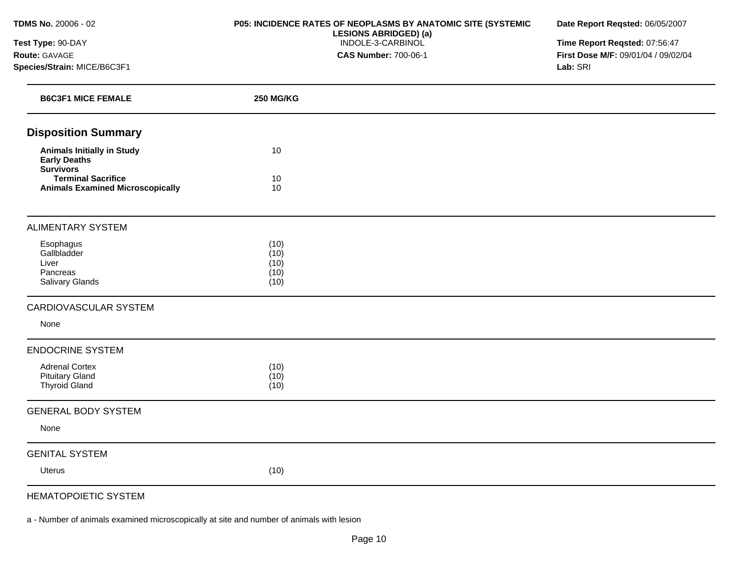**Test Type:** 90-DAY **Route:** GAVAGE **Species/Strain:** MICE/B6C3F1

### **P05: INCIDENCE RATES OF NEOPLASMS BY ANATOMIC SITE (SYSTEMIC LESIONS ABRIDGED) (a)**  INDOLE-3-CARBINOL **CAS Number:** 700-06-1

**Date Report Reqsted:** 06/05/2007

**Time Report Reqsted:** 07:56:47 **First Dose M/F:** 09/01/04 / 09/02/04 **Lab:** SRI

| <b>B6C3F1 MICE FEMALE</b>                                                                | <b>250 MG/KG</b>                     |  |
|------------------------------------------------------------------------------------------|--------------------------------------|--|
| <b>Disposition Summary</b>                                                               |                                      |  |
| <b>Animals Initially in Study</b><br><b>Early Deaths</b>                                 | 10                                   |  |
| <b>Survivors</b><br><b>Terminal Sacrifice</b><br><b>Animals Examined Microscopically</b> | 10<br>10                             |  |
| <b>ALIMENTARY SYSTEM</b>                                                                 |                                      |  |
| Esophagus<br>Gallbladder<br>Liver<br>Pancreas<br>Salivary Glands                         | (10)<br>(10)<br>(10)<br>(10)<br>(10) |  |
| CARDIOVASCULAR SYSTEM                                                                    |                                      |  |
| None                                                                                     |                                      |  |
| <b>ENDOCRINE SYSTEM</b>                                                                  |                                      |  |
| <b>Adrenal Cortex</b><br><b>Pituitary Gland</b><br><b>Thyroid Gland</b>                  | (10)<br>(10)<br>(10)                 |  |
| <b>GENERAL BODY SYSTEM</b>                                                               |                                      |  |
| None                                                                                     |                                      |  |
| <b>GENITAL SYSTEM</b>                                                                    |                                      |  |
| <b>Uterus</b>                                                                            | (10)                                 |  |
| $-1117 - 0001 - 00000 - 0000$                                                            |                                      |  |

# HEMATOPOIETIC SYSTEM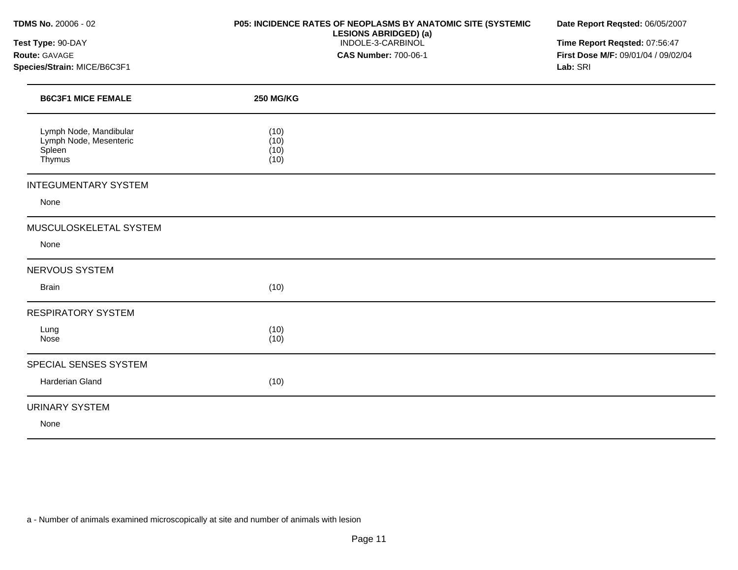**Test Type:** 90-DAY **Route:** GAVAGE **Species/Strain:** MICE/B6C3F1

### **P05: INCIDENCE RATES OF NEOPLASMS BY ANATOMIC SITE (SYSTEMIC LESIONS ABRIDGED) (a)**  INDOLE-3-CARBINOL **CAS Number:** 700-06-1

**Date Report Reqsted:** 06/05/2007

**Time Report Reqsted:** 07:56:47 **First Dose M/F:** 09/01/04 / 09/02/04 **Lab:** SRI

| <b>B6C3F1 MICE FEMALE</b>                                            | <b>250 MG/KG</b>             |  |
|----------------------------------------------------------------------|------------------------------|--|
| Lymph Node, Mandibular<br>Lymph Node, Mesenteric<br>Spleen<br>Thymus | (10)<br>(10)<br>(10)<br>(10) |  |
| <b>INTEGUMENTARY SYSTEM</b>                                          |                              |  |
| None                                                                 |                              |  |
| MUSCULOSKELETAL SYSTEM                                               |                              |  |
| None                                                                 |                              |  |
| <b>NERVOUS SYSTEM</b>                                                |                              |  |
| <b>Brain</b>                                                         | (10)                         |  |
| <b>RESPIRATORY SYSTEM</b>                                            |                              |  |
| Lung<br>Nose                                                         | (10)<br>(10)                 |  |
| SPECIAL SENSES SYSTEM                                                |                              |  |
| Harderian Gland                                                      | (10)                         |  |
| URINARY SYSTEM                                                       |                              |  |
| None                                                                 |                              |  |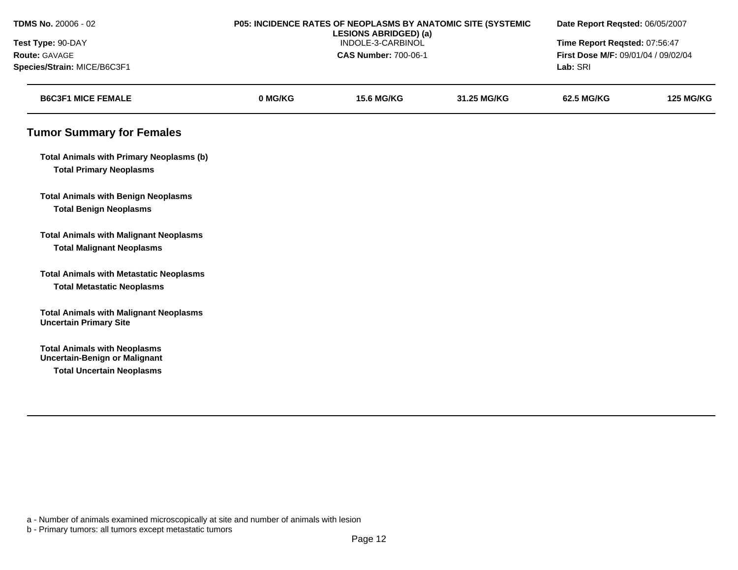| TDMS No. 20006 - 02                                                            |                   | P05: INCIDENCE RATES OF NEOPLASMS BY ANATOMIC SITE (SYSTEMIC<br><b>LESIONS ABRIDGED) (a)</b> |             |                                     | Date Report Reqsted: 06/05/2007 |  |
|--------------------------------------------------------------------------------|-------------------|----------------------------------------------------------------------------------------------|-------------|-------------------------------------|---------------------------------|--|
| Test Type: 90-DAY                                                              | INDOLE-3-CARBINOL |                                                                                              |             | Time Report Reqsted: 07:56:47       |                                 |  |
| Route: GAVAGE                                                                  |                   | <b>CAS Number: 700-06-1</b>                                                                  |             | First Dose M/F: 09/01/04 / 09/02/04 |                                 |  |
| Species/Strain: MICE/B6C3F1                                                    |                   |                                                                                              |             | Lab: SRI                            |                                 |  |
| <b>B6C3F1 MICE FEMALE</b>                                                      | 0 MG/KG           | <b>15.6 MG/KG</b>                                                                            | 31.25 MG/KG | 62.5 MG/KG                          | <b>125 MG/KG</b>                |  |
| <b>Tumor Summary for Females</b>                                               |                   |                                                                                              |             |                                     |                                 |  |
| <b>Total Animals with Primary Neoplasms (b)</b>                                |                   |                                                                                              |             |                                     |                                 |  |
| <b>Total Primary Neoplasms</b>                                                 |                   |                                                                                              |             |                                     |                                 |  |
| <b>Total Animals with Benign Neoplasms</b>                                     |                   |                                                                                              |             |                                     |                                 |  |
| <b>Total Benign Neoplasms</b>                                                  |                   |                                                                                              |             |                                     |                                 |  |
| <b>Total Animals with Malignant Neoplasms</b>                                  |                   |                                                                                              |             |                                     |                                 |  |
| <b>Total Malignant Neoplasms</b>                                               |                   |                                                                                              |             |                                     |                                 |  |
| <b>Total Animals with Metastatic Neoplasms</b>                                 |                   |                                                                                              |             |                                     |                                 |  |
| <b>Total Metastatic Neoplasms</b>                                              |                   |                                                                                              |             |                                     |                                 |  |
| <b>Total Animals with Malignant Neoplasms</b><br><b>Uncertain Primary Site</b> |                   |                                                                                              |             |                                     |                                 |  |
| <b>Total Animals with Neoplasms</b><br><b>Uncertain-Benign or Malignant</b>    |                   |                                                                                              |             |                                     |                                 |  |
| <b>Total Uncertain Neoplasms</b>                                               |                   |                                                                                              |             |                                     |                                 |  |